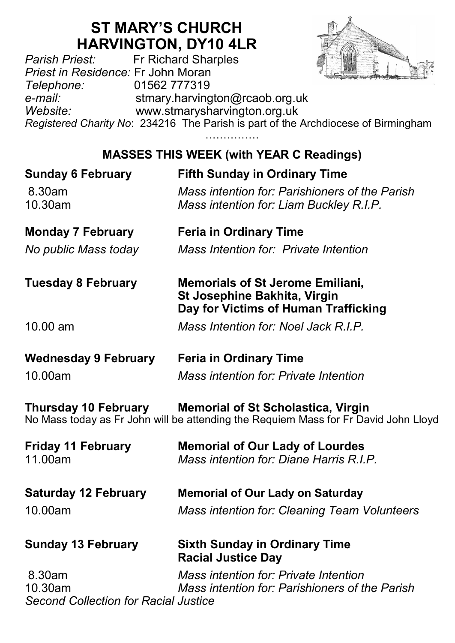# **ST MARY'S CHURCH**

**HARVINGTON, DY10 4LR**<br>Fr Richard Sharples *Parish Priest:* Fr Richard Sharples *Priest in Residence:* Fr John Moran *Telephone:* 01562 777319 *e-mail:* stmary.harvington@rcaob.org.uk *Website:* www.stmarysharvington.org.uk *Registered Charity No*: 234216 The Parish is part of the Archdiocese of Birmingham

………………

## **MASSES THIS WEEK (with YEAR C Readings)**

| <b>Sunday 6 February</b><br>8.30am<br>10.30am                    | <b>Fifth Sunday in Ordinary Time</b><br>Mass intention for: Parishioners of the Parish<br>Mass intention for: Liam Buckley R.I.P. |
|------------------------------------------------------------------|-----------------------------------------------------------------------------------------------------------------------------------|
| <b>Monday 7 February</b>                                         | <b>Feria in Ordinary Time</b>                                                                                                     |
| No public Mass today                                             | Mass Intention for: Private Intention                                                                                             |
| <b>Tuesday 8 February</b>                                        | <b>Memorials of St Jerome Emiliani,</b><br>St Josephine Bakhita, Virgin<br>Day for Victims of Human Trafficking                   |
| 10.00 am                                                         | Mass Intention for: Noel Jack R.I.P.                                                                                              |
| <b>Wednesday 9 February</b>                                      | <b>Feria in Ordinary Time</b>                                                                                                     |
| 10.00am                                                          | Mass intention for: Private Intention                                                                                             |
| <b>Thursday 10 February</b>                                      | <b>Memorial of St Scholastica, Virgin</b><br>No Mass today as Fr John will be attending the Requiem Mass for Fr David John Lloyd  |
| <b>Friday 11 February</b><br>11.00am                             | <b>Memorial of Our Lady of Lourdes</b><br>Mass intention for: Diane Harris R.I.P.                                                 |
| <b>Saturday 12 February</b>                                      | <b>Memorial of Our Lady on Saturday</b>                                                                                           |
| 10.00am                                                          | <b>Mass intention for: Cleaning Team Volunteers</b>                                                                               |
| <b>Sunday 13 February</b>                                        | <b>Sixth Sunday in Ordinary Time</b><br><b>Racial Justice Day</b>                                                                 |
| 8.30am<br>10.30am<br><b>Second Collection for Racial Justice</b> | Mass intention for: Private Intention<br>Mass intention for: Parishioners of the Parish                                           |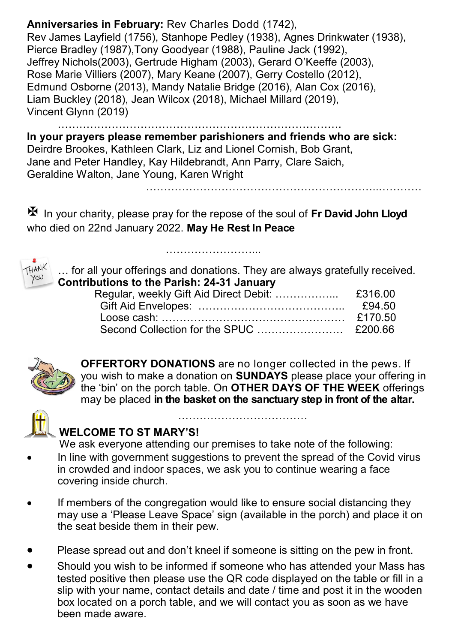#### **Anniversaries in February:** Rev Charles Dodd (1742), Rev James Layfield (1756), Stanhope Pedley (1938), Agnes Drinkwater (1938), Pierce Bradley (1987),Tony Goodyear (1988), Pauline Jack (1992), Jeffrey Nichols(2003), Gertrude Higham (2003), Gerard O'Keeffe (2003), Rose Marie Villiers (2007), Mary Keane (2007), Gerry Costello (2012), Edmund Osborne (2013), Mandy Natalie Bridge (2016), Alan Cox (2016), Liam Buckley (2018), Jean Wilcox (2018), Michael Millard (2019), Vincent Glynn (2019)

……………………………………………………………………. **In your prayers please remember parishioners and friends who are sick:**  Deirdre Brookes, Kathleen Clark, Liz and Lionel Cornish, Bob Grant, Jane and Peter Handley, Kay Hildebrandt, Ann Parry, Clare Saich, Geraldine Walton, Jane Young, Karen Wright

 In your charity, please pray for the repose of the soul of **Fr David John Lloyd**  who died on 22nd January 2022. **May He Rest In Peace**

……………………...



… for all your offerings and donations. They are always gratefully received. **Contributions to the Parish: 24-31 January**

………………………………………………………..…………



**OFFERTORY DONATIONS** are no longer collected in the pews. If you wish to make a donation on **SUNDAYS** please place your offering in the 'bin' on the porch table. On **OTHER DAYS OF THE WEEK** offerings may be placed **in the basket on the sanctuary step in front of the altar.** 

………………………………



**WELCOME TO ST MARY'S!** 

We ask everyone attending our premises to take note of the following:

- In line with government suggestions to prevent the spread of the Covid virus in crowded and indoor spaces, we ask you to continue wearing a face covering inside church.
- If members of the congregation would like to ensure social distancing they may use a 'Please Leave Space' sign (available in the porch) and place it on the seat beside them in their pew.
- Please spread out and don't kneel if someone is sitting on the pew in front.
- Should you wish to be informed if someone who has attended your Mass has tested positive then please use the QR code displayed on the table or fill in a slip with your name, contact details and date / time and post it in the wooden box located on a porch table, and we will contact you as soon as we have been made aware.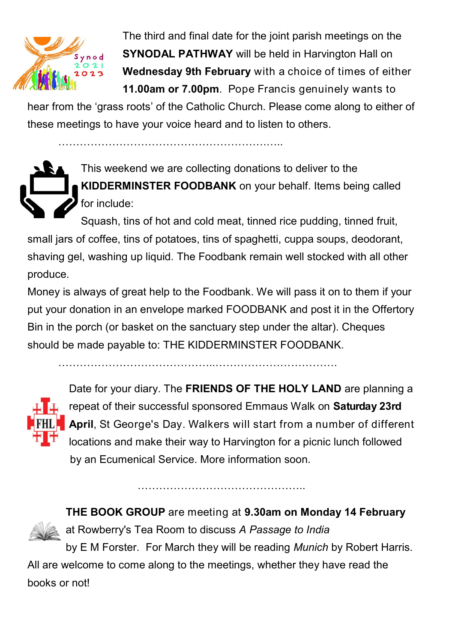

 The third and final date for the joint parish meetings on the **SYNODAL PATHWAY** will be held in Harvington Hall on **Wednesday 9th February** with a choice of times of either **11.00am or 7.00pm**. Pope Francis genuinely wants to

hear from the 'grass roots' of the Catholic Church. Please come along to either of these meetings to have your voice heard and to listen to others.

………………………………………………….…..

This weekend we are collecting donations to deliver to the **KIDDERMINSTER FOODBANK** on your behalf. Items being called for include:

Squash, tins of hot and cold meat, tinned rice pudding, tinned fruit, small jars of coffee, tins of potatoes, tins of spaghetti, cuppa soups, deodorant, shaving gel, washing up liquid. The Foodbank remain well stocked with all other produce.

Money is always of great help to the Foodbank. We will pass it on to them if your put your donation in an envelope marked FOODBANK and post it in the Offertory Bin in the porch (or basket on the sanctuary step under the altar). Cheques should be made payable to: THE KIDDERMINSTER FOODBANK.

……………………………………..…………………………….



Date for your diary. The **FRIENDS OF THE HOLY LAND** are planning a repeat of their successful sponsored Emmaus Walk on **Saturday 23rd April**, St George's Day. Walkers will start from a number of different locations and make their way to Harvington for a picnic lunch followed by an Ecumenical Service. More information soon.

**THE BOOK GROUP** are meeting at **9.30am on Monday 14 February** 



at Rowberry's Tea Room to discuss *A Passage to India*

by E M Forster. For March they will be reading *Munich* by Robert Harris. All are welcome to come along to the meetings, whether they have read the books or not!

……………………………………………………